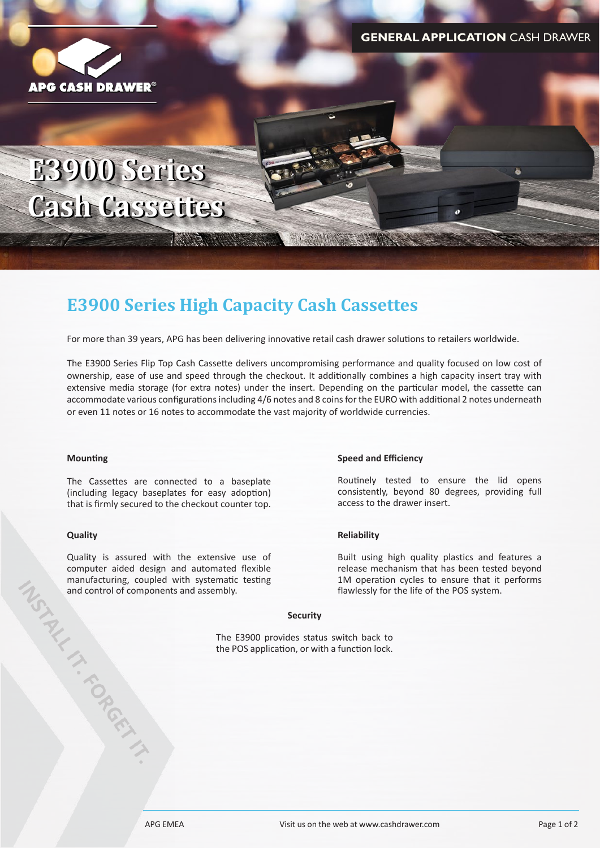

# **E3900 Series E3900 Series Cash Cassettes Cash Cassettes**

## **E3900 Series High Capacity Cash Cassettes**

AND A MARINE

For more than 39 years, APG has been delivering innovative retail cash drawer solutions to retailers worldwide.

The E3900 Series Flip Top Cash Cassette delivers uncompromising performance and quality focused on low cost of ownership, ease of use and speed through the checkout. It additionally combines a high capacity insert tray with extensive media storage (for extra notes) under the insert. Depending on the particular model, the cassette can accommodate various configurations including 4/6 notes and 8 coins for the EURO with additional 2 notes underneath or even 11 notes or 16 notes to accommodate the vast majority of worldwide currencies.

A LOCAL HOMES COMMANDS

### **Mounting**

The Cassettes are connected to a baseplate (including legacy baseplates for easy adoption) that is firmly secured to the checkout counter top.

### **Quality**

Quality is assured with the extensive use of<br>computer aided design and automated flexible<br>manufacturing, coupled with systematic testing<br>and control of components and assembly.<br>The E3900 pr<br>the POS applic computer aided design and automated flexible manufacturing, coupled with systematic testing and control of components and assembly.

#### **Speed and Efficiency**

Routinely tested to ensure the lid opens consistently, beyond 80 degrees, providing full access to the drawer insert.

### **Reliability**

Built using high quality plastics and features a release mechanism that has been tested beyond 1M operation cycles to ensure that it performs flawlessly for the life of the POS system.

#### **Security**

The E3900 provides status switch back to the POS application, or with a function lock.